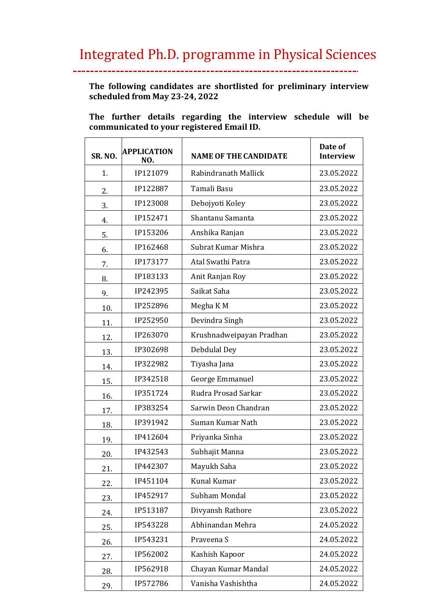## Integrated Ph.D. programme in Physical Sciences

 $\overline{a}$ 

**The following candidates are shortlisted for preliminary interview scheduled from May 23-24, 2022**

**The further details regarding the interview schedule will be communicated to your registered Email ID.** 

| <b>SR. NO.</b> | <b>APPLICATION</b><br>NO. | <b>NAME OF THE CANDIDATE</b> | Date of<br><b>Interview</b> |
|----------------|---------------------------|------------------------------|-----------------------------|
| 1.             | IP121079                  | Rabindranath Mallick         | 23.05.2022                  |
| 2.             | IP122887                  | Tamali Basu                  | 23.05.2022                  |
| 3.             | IP123008                  | Debojyoti Koley              | 23.05.2022                  |
| 4.             | IP152471                  | Shantanu Samanta             | 23.05.2022                  |
| 5.             | IP153206                  | Anshika Ranjan               | 23.05.2022                  |
| 6.             | IP162468                  | Subrat Kumar Mishra          | 23.05.2022                  |
| 7.             | IP173177                  | Atal Swathi Patra            | 23.05.2022                  |
| 8.             | IP183133                  | Anit Ranjan Roy              | 23.05.2022                  |
| 9.             | IP242395                  | Saikat Saha                  | 23.05.2022                  |
| 10.            | IP252896                  | Megha KM                     | 23.05.2022                  |
| 11.            | IP252950                  | Devindra Singh               | 23.05.2022                  |
| 12.            | IP263070                  | Krushnadweipayan Pradhan     | 23.05.2022                  |
| 13.            | IP302698                  | Debdulal Dey                 | 23.05.2022                  |
| 14.            | IP322982                  | Tiyasha Jana                 | 23.05.2022                  |
| 15.            | IP342518                  | George Emmanuel              | 23.05.2022                  |
| 16.            | IP351724                  | Rudra Prosad Sarkar          | 23.05.2022                  |
| 17.            | IP383254                  | Sarwin Deon Chandran         | 23.05.2022                  |
| 18.            | IP391942                  | Suman Kumar Nath             | 23.05.2022                  |
| 19.            | IP412604                  | Priyanka Sinha               | 23.05.2022                  |
| 20.            | IP432543                  | Subhajit Manna               | 23.05.2022                  |
| 21.            | IP442307                  | Mayukh Saha                  | 23.05.2022                  |
| 22.            | IP451104                  | Kunal Kumar                  | 23.05.2022                  |
| 23.            | IP452917                  | Subham Mondal                | 23.05.2022                  |
| 24.            | IP513187                  | Divyansh Rathore             | 23.05.2022                  |
| 25.            | IP543228                  | Abhinandan Mehra             | 24.05.2022                  |
| 26.            | IP543231                  | Praveena S                   | 24.05.2022                  |
| 27.            | IP562002                  | Kashish Kapoor               | 24.05.2022                  |
| 28.            | IP562918                  | Chayan Kumar Mandal          | 24.05.2022                  |
| 29.            | IP572786                  | Vanisha Vashishtha           | 24.05.2022                  |